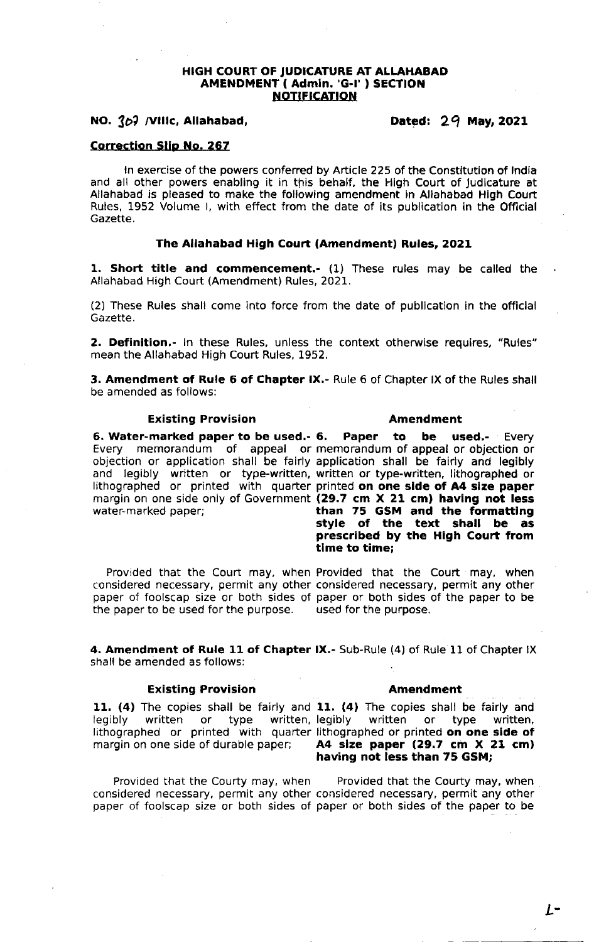## HIGH COURT OF JUDICATURE AT ALLAHABAD AMENDMENT ( Admln. 'G-!' ) SECTION NOTIFICATION

# NO.  $3b$  /VIIIc, Allahabad, Dated:  $29$  May, 2021

# Correction Slip No. 267

ln exercise of the powers conferred by Article 225 of the Constitution of lndia and all other powers enabling it in this behalf, the High Court of Judicature at Allahabad is pleased to make the following amendment in Allahabad High Court Rules, L952 Volume l, with effect from the date of its publication in the Official Gazette.

# The Allahabad High Court (Amendment) Rules, 2O21

1. Short title and commencement.- (1) These rules may be called the Allahabad High Court (Amendment) Rules,202L.

(2) These Rules shall come into force from the date of publication in the official Gazette.

2. Definition.- In these Rules, unless the context otherwise requires, "Rules" mean the Allahabad High Court Rules, 1952.

**3. Amendment of Rule 6 of Chapter IX.**- Rule 6 of Chapter IX of the Rules shall be amended as follows:

#### Existing Provision

#### Amendment

6. Water-marked paper to be used.- Every memorandum of appeal or memorandum of appeal or objection or objection or application shall be fairly application shall be fairly and legibly and legibly written or type-written, written or type-written, lithographed or dive registy interest of type inteem interest or type interest, integraphed or printed with quarter printed on one side of A4 size paper margin on one side only of Government (29.7 cm X 21 cm) having not less water-marked paper;

Paper to be used.- Every than 75 GSM and the formattlng style of the text shall be as prescribed by the High Court from tlme to time;

Provided that the Court may, when Provided that the Court may, when considered necessary, permit any other considered necessary, permit any other paper of foolscap size or both sides of paper or both sides of the paper to be the paper to be used for the purpose. the paper to be used for the purpose.

4. Amendment of Rule 11 of Chapter IX.- Sub-Rule (4) of Rule 11 of Chapter IX shall be amended as follows:

# Existing Provision **Amendment**

11. (4) The copies shall be fairly and 11. (4) The copies shall be fairly and legibly written or type written, legibly written or type written, legibly written or type written, legibly written or type written, lithographed or printed with quarter lithographed or printed on one side of margin on one side of durable paper; **A4 size paper (29.7 cm X 21 cm)** A4 size paper  $(29.7 \text{ cm} \times 21 \text{ cm})$ having not less than 75 GSM;

Provided that the Courty may, when Provided that the Courty may, when considered necessary, permit any other considered necessary. permit any other paper of foolscap size or both sides of paper or both sides of the paper to be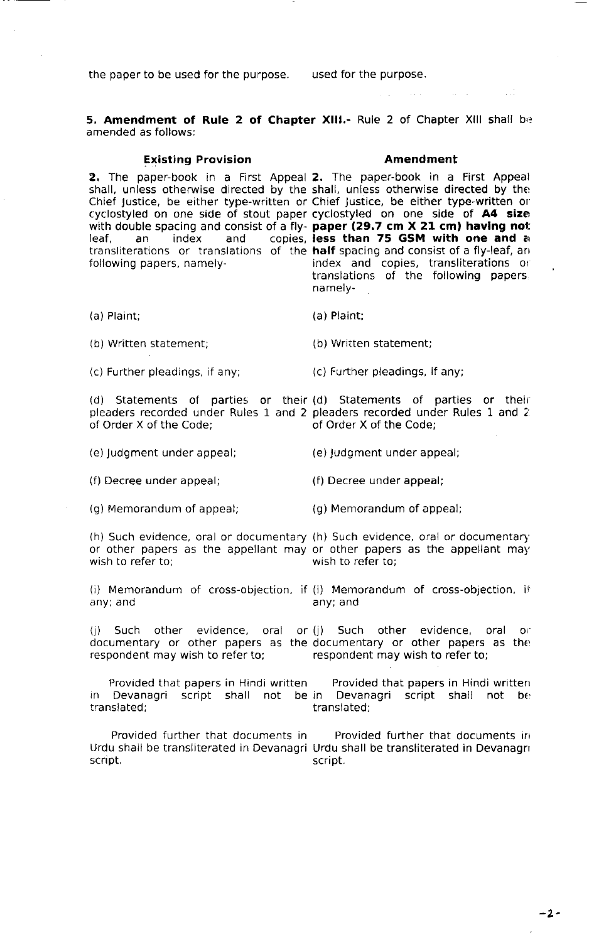the paper to be used for the purpose. used for the purpose.

5. Amendment of Rule 2 of Chapter XIII.- Rule 2 of Chapter XIII shall be amended as follows:

#### Existing Provision

## Amendment

 $\Delta\omega^2 = \omega^2$ 

in Li

2. The paper-book in a First Appeal 2. The paper-book in a First Appea shall, unless otherwise directed by the shall, unless otherwise directed by the  $\,$ Chief Justice, be either type-written or Chief Justice, be either type-written or' cyclostyled on one side of stout paper cyclostyled on one side of A4 size with double spacing and consist of a fly- **paper (29.7 cm X 21 cm) having not**<br>leaf, an an index and copies, **less than 75 GSM with one and a** transliterations or translations of the **half** spacing and consist of a fly-leaf, an following papers, namely less than 75 GSM with one and a index and copies, transliterations or translations of the following papers

na mely -

(a) Plaint; (a) Plaint;

(b) Written statement; (b) Written statement;

(c) Further pleadings, if any; (c) Further pleadings, if any;

(d) Statements of parties or their (d) Statements of parties or their pleaders recorded under Rules 1 and 2 pleaders recorded under Rules I and 2' of Order X of the Code:

(e) Judgment under appeal; (e) Judgment under appeal;

(f) Decree under appeal; (f) Decree under appeal;

(g) Memorandum of appeal; (g) Memorandum of appeal;

(h) Such evidence, oral or documentary (h) Such evidence, oral or documentary' or other papers as the appellant may or other papers as the appellant may wish to refer to: wish to refer to;

(i) Memorandum of cross-objection, if (i) Memorandum of cross-objection, i<sup>†</sup> any; and any; and

(j) Such other evidence, oral or(j) Such oth<mark>er evidence, oral o</mark>r documentary or other papers as the documentary or other papers as the respondent may wish to refer to; respondent may wish to refer to;

Provided that papers in Hindi written Provided that papers in Hindi written<br>in Devanagri script shall not be in Devanagri script shall not be<br>translated; translated;

Provided further that documents in Frovided further that documents in Urdu shall be transliterated in Devanagri Urdu shall be transliterated in Devanagri script.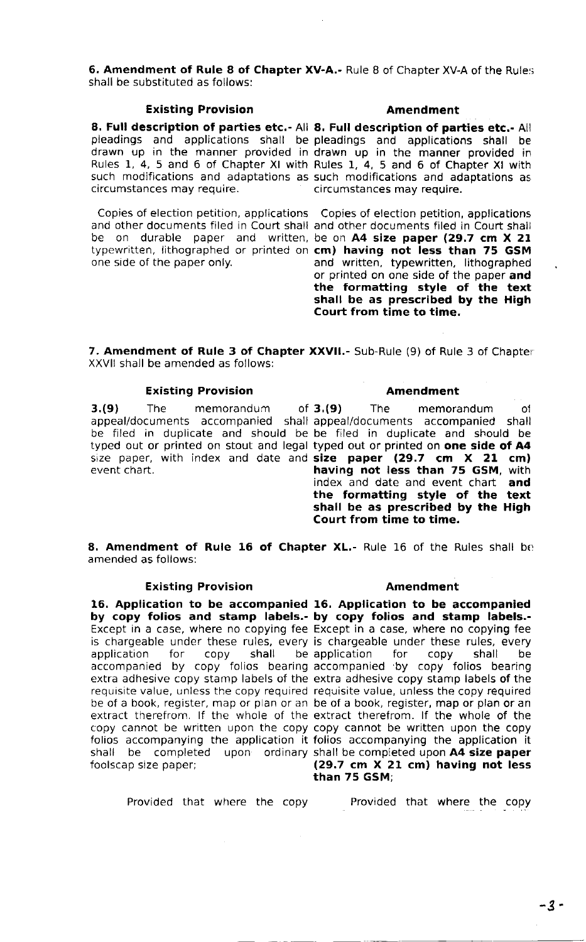6. Amendment of Rule 8 of Chapter XV-A.- Rule 8 of Chapter XV-A of the Rules shall be substituted as follows:

## Existing Provision

8. Full description of parties etc.- All 8. Full description of <mark>parties etc.-</mark> All circumstances may require.

Copies of election petition, applications Copies of election petition, applicatlons one side of the paper only.

## Amendment

pleadings and applications shall be pleadings and applications shall be drawn up in the manner provided in drawn up in the manner provided in Rules 1,4, 5 and 6 of Chapter Xl with Rules 1, 4, 5 and 6 of Chapter Xl with such modifications and adaptations as such modifications and adaptations as circumstances may require.

and other documents filed in Court shall and other documents filed in Court shall<br>be on durable paper and written, be on **A4 size paper (29.7 cm X 21** typewritten, lithographed or printed on cm) having not less than 75 GSM be on durable paper and written, be on A4 size paper (29.7 cm X 21 and written, typewritten, lithographed or printed on one side of the paper and<br>the formatting style of the text shall be as prescribed by the High Court from time to time.

7. Amendment of Rule 3 of Chapter XXVII.- Sub-Rule (9) of Rule 3 of Chapter XXVII shall be amended as follows:

## Existing Provision

 $3.(9)$  The memorandum of  $3.(9)$ event chart.

### Amendment

appeal/documents accompanied shall appeal/documents accompanied shall be filed in duplicate and should be be filed in duplicate and should be typed out or printed on stout and legal typed out or printed on **one side of A4** size paper, with index and date and **size paper (29.7 cm X 21 cm)** The memorandum of having not less than 75 GSM, with index and date and event chart and the formatting style of the text shall be as prescribed by the High Court from time to time.

8. Amendment of Rule 16 of Chapter XL.- Rule 16 of the Rules shall be amended as follows:

# Existing Provision

16. Application to be accompanied 16. Application to be accompanied by copy folios and stamp labels.- by copy folios and stamp labels.- Except in a case, where no copying fee Except in a case, where no copying fee is chargeable under these rules, every application for copy shall be accompanied by copy folios bearing accompanied by copy folios bearing extra adhesive copy stamp labels of the extra adhesive co<mark>py stamp labels of t</mark>he requisite value, unless the copy required requisite value, unless the copy required be of a book, register, map or plan or an be of a book, register<mark>, map or plan or an</mark> extract therefrom. If the whole of the extract therefrom. If the whole of the copy cannot be written upon the copy copy cannot be written upon th<mark>e copy</mark> folios accompanying the application it folios accompanying the application it shall be completed upon ordinary shall be completed upon **A4 size paper** foolscap size paper;

### Amendment

is chargeable under these rules, every application for copy shall be (29.7 cm X 21 cm) having not less than 75 GSM;

Provided that where the copy betweed that where the copy